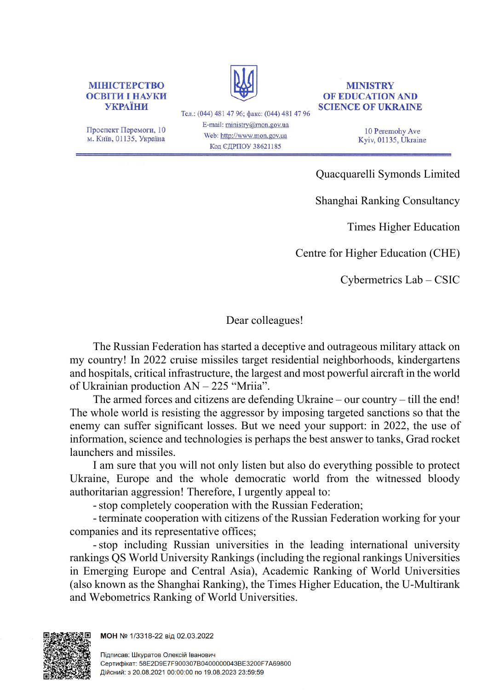

Проспект Перемоги, 10 м. Київ, 01135, Україна

Тел.: (044) 481 47 96; факс: (044) 481 47 96 E-mail: ministry@mon.gov.ua Web: http://www.mon.gov.ua Код ЄДРПОУ 38621185

## **MINISTRY OF EDUCATION AND SCIENCE OF UKRAINE**

10 Peremohy Ave Kyiv, 01135, Ukraine

[Quacquarelli Symonds Limited](https://en.wikipedia.org/wiki/Quacquarelli_Symonds)

Shanghai Ranking Consultancy

Times Higher Education

Centre for Higher Education (СHE)

Cybermetrics Lab – CSIC

## Dear colleagues!

The Russian Federation has started a deceptive and outrageous military attack on my country! In 2022 cruise missiles target residential neighborhoods, kindergartens and hospitals, critical infrastructure, the largest and most powerful aircraft in the world of Ukrainian production AN – 225 "Mriia".

The armed forces and citizens are defending Ukraine – our country – till the end! The whole world is resisting the aggressor by imposing targeted sanctions so that the enemy can suffer significant losses. But we need your support: in 2022, the use of information, science and technologies is perhaps the best answer to tanks, Grad rocket launchers and missiles.

I am sure that you will not only listen but also do everything possible to protect Ukraine, Europe and the whole democratic world from the witnessed bloody authoritarian aggression! Therefore, I urgently appeal to:

- stop completely cooperation with the Russian Federation;

- terminate cooperation with citizens of the Russian Federation working for your companies and its representative offices;

- stop including Russian universities in the leading international university rankings QS World University Rankings (including the regional rankings Universities in Emerging Europe and Central Asia), Academic Ranking of World Universities (also known as the Shanghai Ranking), the Times Higher Education, the U-Multirank and Webometrics Ranking of World Universities.



МОН № 1/3318-22 від 02.03.2022